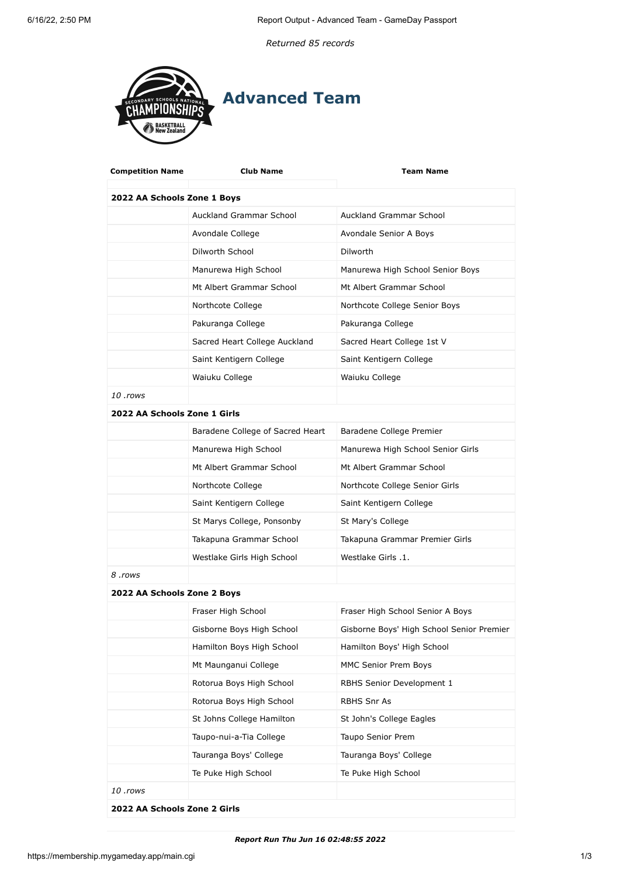*Returned 85 records*



| <b>Competition Name</b>      | <b>Club Name</b>                 | <b>Team Name</b>                          |  |  |
|------------------------------|----------------------------------|-------------------------------------------|--|--|
| 2022 AA Schools Zone 1 Boys  |                                  |                                           |  |  |
|                              | <b>Auckland Grammar School</b>   | Auckland Grammar School                   |  |  |
|                              | Avondale College                 | Avondale Senior A Boys                    |  |  |
|                              | Dilworth School                  | <b>Dilworth</b>                           |  |  |
|                              | Manurewa High School             | Manurewa High School Senior Boys          |  |  |
|                              | Mt Albert Grammar School         | Mt Albert Grammar School                  |  |  |
|                              | Northcote College                | Northcote College Senior Boys             |  |  |
|                              | Pakuranga College                | Pakuranga College                         |  |  |
|                              | Sacred Heart College Auckland    | Sacred Heart College 1st V                |  |  |
|                              | Saint Kentigern College          | Saint Kentigern College                   |  |  |
|                              | Waiuku College                   | Waiuku College                            |  |  |
| 10 .rows                     |                                  |                                           |  |  |
| 2022 AA Schools Zone 1 Girls |                                  |                                           |  |  |
|                              | Baradene College of Sacred Heart | Baradene College Premier                  |  |  |
|                              | Manurewa High School             | Manurewa High School Senior Girls         |  |  |
|                              | Mt Albert Grammar School         | Mt Albert Grammar School                  |  |  |
|                              | Northcote College                | Northcote College Senior Girls            |  |  |
|                              | Saint Kentigern College          | Saint Kentigern College                   |  |  |
|                              | St Marys College, Ponsonby       | St Mary's College                         |  |  |
|                              | Takapuna Grammar School          | Takapuna Grammar Premier Girls            |  |  |
|                              | Westlake Girls High School       | Westlake Girls .1.                        |  |  |
| 8 .rows                      |                                  |                                           |  |  |
| 2022 AA Schools Zone 2 Boys  |                                  |                                           |  |  |
|                              | Fraser High School               | Fraser High School Senior A Boys          |  |  |
|                              | Gisborne Boys High School        | Gisborne Boys' High School Senior Premier |  |  |
|                              | Hamilton Boys High School        | Hamilton Boys' High School                |  |  |
|                              | Mt Maunganui College             | MMC Senior Prem Boys                      |  |  |
|                              | Rotorua Boys High School         | RBHS Senior Development 1                 |  |  |
|                              | Rotorua Boys High School         | RBHS Snr As                               |  |  |
|                              | St Johns College Hamilton        | St John's College Eagles                  |  |  |
|                              | Taupo-nui-a-Tia College          | Taupo Senior Prem                         |  |  |
|                              | Tauranga Boys' College           | Tauranga Boys' College                    |  |  |
|                              | Te Puke High School              | Te Puke High School                       |  |  |
| 10 .rows                     |                                  |                                           |  |  |
| 2022 AA Schools Zone 2 Girls |                                  |                                           |  |  |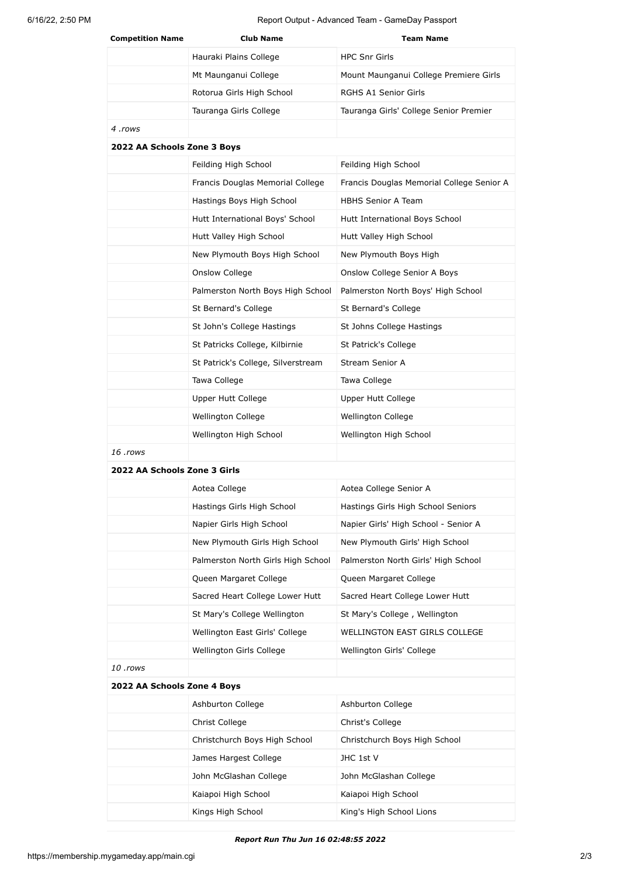6/16/22, 2:50 PM Report Output - Advanced Team - GameDay Passport

| <b>Competition Name</b>      | <b>Club Name</b>                   | <b>Team Name</b>                          |
|------------------------------|------------------------------------|-------------------------------------------|
|                              | Hauraki Plains College             | <b>HPC Snr Girls</b>                      |
|                              | Mt Maunganui College               | Mount Maunganui College Premiere Girls    |
|                              | Rotorua Girls High School          | RGHS A1 Senior Girls                      |
|                              | Tauranga Girls College             | Tauranga Girls' College Senior Premier    |
| 4 .rows                      |                                    |                                           |
| 2022 AA Schools Zone 3 Boys  |                                    |                                           |
|                              | Feilding High School               | Feilding High School                      |
|                              | Francis Douglas Memorial College   | Francis Douglas Memorial College Senior A |
|                              | Hastings Boys High School          | <b>HBHS Senior A Team</b>                 |
|                              | Hutt International Boys' School    | Hutt International Boys School            |
|                              | Hutt Valley High School            | Hutt Valley High School                   |
|                              | New Plymouth Boys High School      | New Plymouth Boys High                    |
|                              | Onslow College                     | Onslow College Senior A Boys              |
|                              | Palmerston North Boys High School  | Palmerston North Boys' High School        |
|                              | St Bernard's College               | St Bernard's College                      |
|                              | St John's College Hastings         | St Johns College Hastings                 |
|                              | St Patricks College, Kilbirnie     | St Patrick's College                      |
|                              | St Patrick's College, Silverstream | Stream Senior A                           |
|                              | Tawa College                       | Tawa College                              |
|                              | Upper Hutt College                 | Upper Hutt College                        |
|                              | Wellington College                 | Wellington College                        |
|                              | Wellington High School             | Wellington High School                    |
| 16 .rows                     |                                    |                                           |
| 2022 AA Schools Zone 3 Girls |                                    |                                           |
|                              | Aotea College                      | Aotea College Senior A                    |
|                              | Hastings Girls High School         | Hastings Girls High School Seniors        |
|                              | Napier Girls High School           | Napier Girls' High School - Senior A      |
|                              | New Plymouth Girls High School     | New Plymouth Girls' High School           |
|                              | Palmerston North Girls High School | Palmerston North Girls' High School       |
|                              | Queen Margaret College             | Queen Margaret College                    |
|                              | Sacred Heart College Lower Hutt    | Sacred Heart College Lower Hutt           |
|                              | St Mary's College Wellington       | St Mary's College, Wellington             |
|                              | Wellington East Girls' College     | WELLINGTON EAST GIRLS COLLEGE             |
|                              | Wellington Girls College           | Wellington Girls' College                 |
| 10 .rows                     |                                    |                                           |
| 2022 AA Schools Zone 4 Boys  |                                    |                                           |
|                              | Ashburton College                  | Ashburton College                         |
|                              | Christ College                     | Christ's College                          |
|                              | Christchurch Boys High School      | Christchurch Boys High School             |
|                              | James Hargest College              | JHC 1st V                                 |
|                              | John McGlashan College             | John McGlashan College                    |
|                              | Kaiapoi High School                | Kaiapoi High School                       |
|                              | Kings High School                  | King's High School Lions                  |